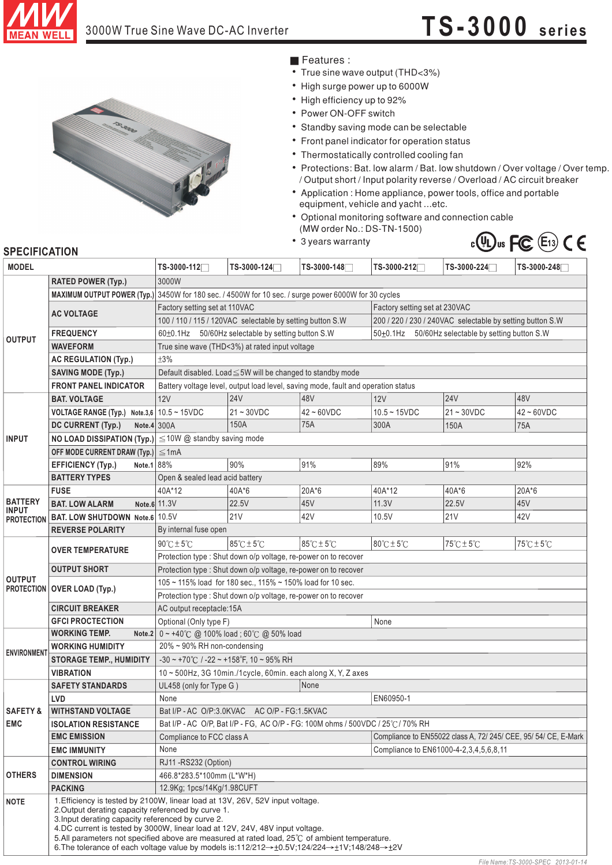

## 3000W True Sine Wave DC-AC Inverter **TS-3000** series



- **Features :**
- True sine wave output (THD<3%)
- High surge power up to 6000W
- High efficiency up to 92%
- Power ON-OFF switch
- Standby saving mode can be selectable
- Front panel indicator for operation status
- Thermostatically controlled cooling fan
- ¡E¡E¡E¡E¡E¡E¡E¡E¡E¡E¡E  $\bullet$ Protections: Bat. low alarm / Bat. low shutdown / Over voltage / Over temp. / Output short / Input polarity reverse / Overload / AC circuit breaker
- Application : Home appliance, power tools, office and portable equipment, vehicle and yacht ...etc.
- Optional monitoring software and connection cable (MW order No.: DS-TN-1500)
- 3 years warranty



## **SPECIFICATION**

| <b>MODEL</b>                                        |                                                                                                                                                                                                                                                                                                                                                                                                                                                                                                                                  | TS-3000-112 <sup>-1</sup>                                                                            | TS-3000-124      | TS-3000-148                         | TS-3000-212                                                     | TS-3000-224                         | TS-3000-248                         |
|-----------------------------------------------------|----------------------------------------------------------------------------------------------------------------------------------------------------------------------------------------------------------------------------------------------------------------------------------------------------------------------------------------------------------------------------------------------------------------------------------------------------------------------------------------------------------------------------------|------------------------------------------------------------------------------------------------------|------------------|-------------------------------------|-----------------------------------------------------------------|-------------------------------------|-------------------------------------|
|                                                     | <b>RATED POWER (Typ.)</b>                                                                                                                                                                                                                                                                                                                                                                                                                                                                                                        | 3000W                                                                                                |                  |                                     |                                                                 |                                     |                                     |
| <b>OUTPUT</b>                                       |                                                                                                                                                                                                                                                                                                                                                                                                                                                                                                                                  | MAXIMUM OUTPUT POWER (Typ.) 3450W for 180 sec. / 4500W for 10 sec. / surge power 6000W for 30 cycles |                  |                                     |                                                                 |                                     |                                     |
|                                                     |                                                                                                                                                                                                                                                                                                                                                                                                                                                                                                                                  | Factory setting set at 230VAC<br>Factory setting set at 110VAC                                       |                  |                                     |                                                                 |                                     |                                     |
|                                                     | <b>AC VOLTAGE</b>                                                                                                                                                                                                                                                                                                                                                                                                                                                                                                                | 100 / 110 / 115 / 120VAC selectable by setting button S.W                                            |                  |                                     | 200 / 220 / 230 / 240VAC selectable by setting button S.W       |                                     |                                     |
|                                                     | <b>FREQUENCY</b>                                                                                                                                                                                                                                                                                                                                                                                                                                                                                                                 | 60±0.1Hz 50/60Hz selectable by setting button S.W                                                    |                  |                                     | 50±0.1Hz 50/60Hz selectable by setting button S.W               |                                     |                                     |
|                                                     | <b>WAVEFORM</b>                                                                                                                                                                                                                                                                                                                                                                                                                                                                                                                  | True sine wave (THD<3%) at rated input voltage                                                       |                  |                                     |                                                                 |                                     |                                     |
|                                                     | <b>AC REGULATION (Typ.)</b>                                                                                                                                                                                                                                                                                                                                                                                                                                                                                                      | ±3%                                                                                                  |                  |                                     |                                                                 |                                     |                                     |
|                                                     | <b>SAVING MODE (Typ.)</b>                                                                                                                                                                                                                                                                                                                                                                                                                                                                                                        | Default disabled. Load ≤5W will be changed to standby mode                                           |                  |                                     |                                                                 |                                     |                                     |
|                                                     | <b>FRONT PANEL INDICATOR</b>                                                                                                                                                                                                                                                                                                                                                                                                                                                                                                     | Battery voltage level, output load level, saving mode, fault and operation status                    |                  |                                     |                                                                 |                                     |                                     |
| <b>INPUT</b>                                        | <b>BAT. VOLTAGE</b>                                                                                                                                                                                                                                                                                                                                                                                                                                                                                                              | 12V                                                                                                  | <b>24V</b>       | 48V                                 | 12V                                                             | <b>24V</b>                          | 48V                                 |
|                                                     | <b>VOLTAGE RANGE (Typ.)</b> Note.3,6 $10.5 \sim 15$ VDC                                                                                                                                                                                                                                                                                                                                                                                                                                                                          |                                                                                                      | $21 \sim 30$ VDC | $42 - 60$ VDC                       | $10.5 - 15VDC$                                                  | $21 - 30VDC$                        | $42 - 60$ VDC                       |
|                                                     | DC CURRENT (Typ.)<br>Note.4 $300A$                                                                                                                                                                                                                                                                                                                                                                                                                                                                                               |                                                                                                      | 150A             | <b>75A</b>                          | 300A                                                            | 150A                                | 75A                                 |
|                                                     |                                                                                                                                                                                                                                                                                                                                                                                                                                                                                                                                  | NO LOAD DISSIPATION $(Typ.)  \leq 10W$ @ standby saving mode                                         |                  |                                     |                                                                 |                                     |                                     |
|                                                     | OFF MODE CURRENT DRAW (Typ.) $ \leq 1$ mA                                                                                                                                                                                                                                                                                                                                                                                                                                                                                        |                                                                                                      |                  |                                     |                                                                 |                                     |                                     |
|                                                     | Note.1 88%<br><b>EFFICIENCY (Typ.)</b>                                                                                                                                                                                                                                                                                                                                                                                                                                                                                           |                                                                                                      | 90%              | 91%                                 | 89%                                                             | 91%                                 | 92%                                 |
|                                                     | <b>BATTERY TYPES</b>                                                                                                                                                                                                                                                                                                                                                                                                                                                                                                             | Open & sealed lead acid battery                                                                      |                  |                                     |                                                                 |                                     |                                     |
|                                                     | <b>FUSE</b>                                                                                                                                                                                                                                                                                                                                                                                                                                                                                                                      | 40A*12                                                                                               | 40A*6            | 20A*6                               | 40A*12                                                          | 40A*6                               | 20A*6                               |
| <b>BATTERY</b><br><b>INPUT</b><br><b>PROTECTION</b> | <b>BAT. LOW ALARM</b>                                                                                                                                                                                                                                                                                                                                                                                                                                                                                                            | Note.6 11.3V                                                                                         | 22.5V            | 45V                                 | 11.3V                                                           | 22.5V                               | 45V                                 |
|                                                     | BAT. LOW SHUTDOWN Note.6 10.5V                                                                                                                                                                                                                                                                                                                                                                                                                                                                                                   |                                                                                                      | 21V              | 42V                                 | 10.5V                                                           | <b>21V</b>                          | 42V                                 |
|                                                     | <b>REVERSE POLARITY</b>                                                                                                                                                                                                                                                                                                                                                                                                                                                                                                          | By internal fuse open                                                                                |                  |                                     |                                                                 |                                     |                                     |
| <b>OUTPUT</b>                                       | <b>OVER TEMPERATURE</b>                                                                                                                                                                                                                                                                                                                                                                                                                                                                                                          | $90^{\circ}$ C $\pm$ 5 $^{\circ}$ C                                                                  | 85°C ± 5°C       | $85^{\circ}$ C $\pm$ 5 $^{\circ}$ C | 80°C±5°C                                                        | $75^{\circ}$ C $\pm$ 5 $^{\circ}$ C | $75^{\circ}$ C $\pm$ 5 $^{\circ}$ C |
|                                                     |                                                                                                                                                                                                                                                                                                                                                                                                                                                                                                                                  | Protection type : Shut down o/p voltage, re-power on to recover                                      |                  |                                     |                                                                 |                                     |                                     |
|                                                     | <b>OUTPUT SHORT</b>                                                                                                                                                                                                                                                                                                                                                                                                                                                                                                              | Protection type : Shut down o/p voltage, re-power on to recover                                      |                  |                                     |                                                                 |                                     |                                     |
|                                                     | <b>PROTECTION   OVER LOAD (Typ.)</b>                                                                                                                                                                                                                                                                                                                                                                                                                                                                                             | 105 ~ 115% load for 180 sec., 115% ~ 150% load for 10 sec.                                           |                  |                                     |                                                                 |                                     |                                     |
|                                                     |                                                                                                                                                                                                                                                                                                                                                                                                                                                                                                                                  | Protection type : Shut down o/p voltage, re-power on to recover                                      |                  |                                     |                                                                 |                                     |                                     |
|                                                     | <b>CIRCUIT BREAKER</b>                                                                                                                                                                                                                                                                                                                                                                                                                                                                                                           | AC output receptacle: 15A                                                                            |                  |                                     |                                                                 |                                     |                                     |
|                                                     | <b>GFCI PROCTECTION</b>                                                                                                                                                                                                                                                                                                                                                                                                                                                                                                          | Optional (Only type F)                                                                               |                  |                                     | None                                                            |                                     |                                     |
| <b>ENVIRONMENT</b>                                  | <b>WORKING TEMP.</b>                                                                                                                                                                                                                                                                                                                                                                                                                                                                                                             | Note.2 $0 \sim +40^{\circ}$ C @ 100% load; 60°C @ 50% load                                           |                  |                                     |                                                                 |                                     |                                     |
|                                                     | <b>WORKING HUMIDITY</b>                                                                                                                                                                                                                                                                                                                                                                                                                                                                                                          | 20% ~ 90% RH non-condensing                                                                          |                  |                                     |                                                                 |                                     |                                     |
|                                                     | <b>STORAGE TEMP., HUMIDITY</b>                                                                                                                                                                                                                                                                                                                                                                                                                                                                                                   | $-30 \sim +70^{\circ}$ C / $-22 \sim +158^{\circ}$ F, 10 ~ 95% RH                                    |                  |                                     |                                                                 |                                     |                                     |
|                                                     | <b>VIBRATION</b>                                                                                                                                                                                                                                                                                                                                                                                                                                                                                                                 | 10 ~ 500Hz, 3G 10min./1cycle, 60min. each along X, Y, Z axes                                         |                  |                                     |                                                                 |                                     |                                     |
| <b>SAFETY &amp;</b><br><b>EMC</b>                   | <b>SAFETY STANDARDS</b>                                                                                                                                                                                                                                                                                                                                                                                                                                                                                                          | None<br>UL458 (only for Type G)                                                                      |                  |                                     |                                                                 |                                     |                                     |
|                                                     | LVD                                                                                                                                                                                                                                                                                                                                                                                                                                                                                                                              | None                                                                                                 |                  |                                     | EN60950-1                                                       |                                     |                                     |
|                                                     | <b>WITHSTAND VOLTAGE</b>                                                                                                                                                                                                                                                                                                                                                                                                                                                                                                         | Bat I/P - AC O/P:3.0KVAC AC O/P - FG:1.5KVAC                                                         |                  |                                     |                                                                 |                                     |                                     |
|                                                     | <b>ISOLATION RESISTANCE</b>                                                                                                                                                                                                                                                                                                                                                                                                                                                                                                      | Bat I/P - AC O/P, Bat I/P - FG, AC O/P - FG: 100M ohms / 500VDC / 25°C/70% RH                        |                  |                                     |                                                                 |                                     |                                     |
|                                                     | <b>EMC EMISSION</b>                                                                                                                                                                                                                                                                                                                                                                                                                                                                                                              | Compliance to FCC class A                                                                            |                  |                                     | Compliance to EN55022 class A, 72/ 245/ CEE, 95/ 54/ CE, E-Mark |                                     |                                     |
|                                                     | <b>EMC IMMUNITY</b>                                                                                                                                                                                                                                                                                                                                                                                                                                                                                                              | None                                                                                                 |                  |                                     | Compliance to EN61000-4-2,3,4,5,6,8,11                          |                                     |                                     |
|                                                     | <b>CONTROL WIRING</b>                                                                                                                                                                                                                                                                                                                                                                                                                                                                                                            | RJ11 - RS232 (Option)                                                                                |                  |                                     |                                                                 |                                     |                                     |
| <b>OTHERS</b>                                       | <b>DIMENSION</b>                                                                                                                                                                                                                                                                                                                                                                                                                                                                                                                 | 466.8*283.5*100mm (L*W*H)                                                                            |                  |                                     |                                                                 |                                     |                                     |
|                                                     | <b>PACKING</b>                                                                                                                                                                                                                                                                                                                                                                                                                                                                                                                   | 12.9Kg; 1pcs/14Kg/1.98CUFT                                                                           |                  |                                     |                                                                 |                                     |                                     |
| <b>NOTE</b>                                         | 1. Efficiency is tested by 2100W, linear load at 13V, 26V, 52V input voltage.<br>2. Output derating capacity referenced by curve 1.<br>3. Input derating capacity referenced by curve 2.<br>4.DC current is tested by 3000W, linear load at 12V, 24V, 48V input voltage.<br>5. All parameters not specified above are measured at rated load, 25°C of ambient temperature.<br>6. The tolerance of each voltage value by models is:112/212 $\rightarrow$ $\pm$ 0.5V;124/224 $\rightarrow$ $\pm$ 1V;148/248 $\rightarrow$ $\pm$ 2V |                                                                                                      |                  |                                     |                                                                 |                                     |                                     |